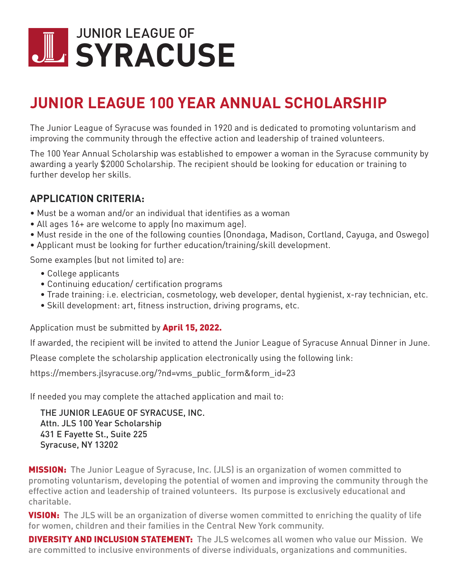## **SYRACUSE** JUNIOR LEAGUE OF

## **JUNIOR LEAGUE 100 YEAR ANNUAL SCHOLARSHIP**

The Junior League of Syracuse was founded in 1920 and is dedicated to promoting voluntarism and improving the community through the effective action and leadership of trained volunteers.

The 100 Year Annual Scholarship was established to empower a woman in the Syracuse community by awarding a yearly \$2000 Scholarship. The recipient should be looking for education or training to further develop her skills.

## **APPLICATION CRITERIA:**

- ∙ Must be a woman and/or an individual that identifies as a woman
- ∙ All ages 16+ are welcome to apply (no maximum age).
- ∙ Must reside in the one of the following counties (Onondaga, Madison, Cortland, Cayuga, and Oswego)
- ∙ Applicant must be looking for further education/training/skill development.

Some examples (but not limited to) are:

- ∙ College applicants
- ∙ Continuing education/ certification programs
- ∙ Trade training: i.e. electrician, cosmetology, web developer, dental hygienist, x-ray technician, etc.
- ∙ Skill development: art, fitness instruction, driving programs, etc.

Application must be submitted by **April 15, 2022.** 

If awarded, the recipient will be invited to attend the Junior League of Syracuse Annual Dinner in June.

Please complete the scholarship application electronically using the following link:

https://members.jlsyracuse.org/?nd=vms\_public\_form&form\_id=23

If needed you may complete the attached application and mail to:

THE JUNIOR LEAGUE OF SYRACUSE, INC. Attn. JLS 100 Year Scholarship 431 E Fayette St., Suite 225 Syracuse, NY 13202

**MISSION:** The Junior League of Syracuse, Inc. (JLS) is an organization of women committed to promoting voluntarism, developing the potential of women and improving the community through the effective action and leadership of trained volunteers. Its purpose is exclusively educational and charitable.

**VISION:** The JLS will be an organization of diverse women committed to enriching the quality of life for women, children and their families in the Central New York community.

**DIVERSITY AND INCLUSION STATEMENT:** The JLS welcomes all women who value our Mission. We are committed to inclusive environments of diverse individuals, organizations and communities.